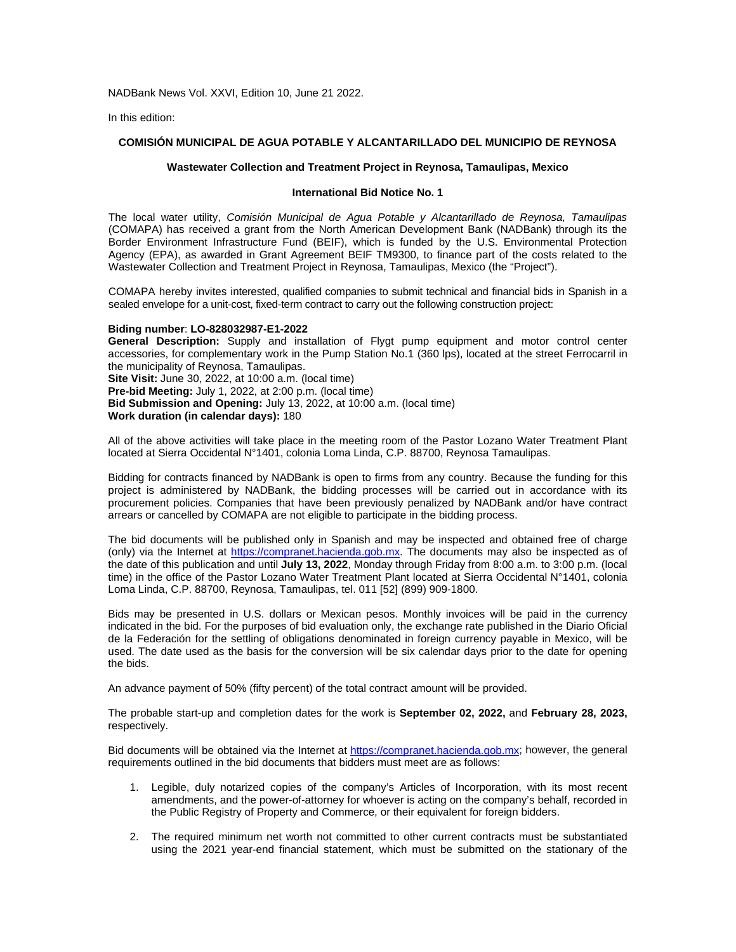NADBank News Vol. XXVI, Edition 10, June 21 2022.

In this edition:

# **COMISIÓN MUNICIPAL DE AGUA POTABLE Y ALCANTARILLADO DEL MUNICIPIO DE REYNOSA**

### **Wastewater Collection and Treatment Project in Reynosa, Tamaulipas, Mexico**

#### **International Bid Notice No. 1**

The local water utility, *Comisión Municipal de Agua Potable y Alcantarillado de Reynosa, Tamaulipas* (COMAPA) has received a grant from the North American Development Bank (NADBank) through its the Border Environment Infrastructure Fund (BEIF), which is funded by the U.S. Environmental Protection Agency (EPA), as awarded in Grant Agreement BEIF TM9300, to finance part of the costs related to the Wastewater Collection and Treatment Project in Reynosa, Tamaulipas, Mexico (the "Project").

COMAPA hereby invites interested, qualified companies to submit technical and financial bids in Spanish in a sealed envelope for a unit-cost, fixed-term contract to carry out the following construction project:

#### **Biding number**: **LO-828032987-E1-2022**

**General Description:** Supply and installation of Flygt pump equipment and motor control center accessories, for complementary work in the Pump Station No.1 (360 lps), located at the street Ferrocarril in the municipality of Reynosa, Tamaulipas. **Site Visit:** June 30, 2022, at 10:00 a.m. (local time)

**Pre-bid Meeting:** July 1, 2022, at 2:00 p.m. (local time)

**Bid Submission and Opening:** July 13, 2022, at 10:00 a.m. (local time)

**Work duration (in calendar days):** 180

All of the above activities will take place in the meeting room of the Pastor Lozano Water Treatment Plant located at Sierra Occidental N°1401, colonia Loma Linda, C.P. 88700, Reynosa Tamaulipas.

Bidding for contracts financed by NADBank is open to firms from any country. Because the funding for this project is administered by NADBank, the bidding processes will be carried out in accordance with its procurement policies. Companies that have been previously penalized by NADBank and/or have contract arrears or cancelled by COMAPA are not eligible to participate in the bidding process.

The bid documents will be published only in Spanish and may be inspected and obtained free of charge (only) via the Internet at [https://compranet.hacienda.gob.mx.](https://compranet.hacienda.gob.mx/) The documents may also be inspected as of the date of this publication and until **July 13, 2022**, Monday through Friday from 8:00 a.m. to 3:00 p.m. (local time) in the office of the Pastor Lozano Water Treatment Plant located at Sierra Occidental N°1401, colonia Loma Linda, C.P. 88700, Reynosa, Tamaulipas, tel. 011 [52] (899) 909-1800.

Bids may be presented in U.S. dollars or Mexican pesos. Monthly invoices will be paid in the currency indicated in the bid. For the purposes of bid evaluation only, the exchange rate published in the Diario Oficial de la Federación for the settling of obligations denominated in foreign currency payable in Mexico, will be used. The date used as the basis for the conversion will be six calendar days prior to the date for opening the bids.

An advance payment of 50% (fifty percent) of the total contract amount will be provided.

The probable start-up and completion dates for the work is **September 02, 2022,** and **February 28, 2023,** respectively.

Bid documents will be obtained via the Internet at [https://compranet.hacienda.gob.mx;](https://compranet.hacienda.gob.mxs/) however, the general requirements outlined in the bid documents that bidders must meet are as follows:

- 1. Legible, duly notarized copies of the company's Articles of Incorporation, with its most recent amendments, and the power-of-attorney for whoever is acting on the company's behalf, recorded in the Public Registry of Property and Commerce, or their equivalent for foreign bidders.
- 2. The required minimum net worth not committed to other current contracts must be substantiated using the 2021 year-end financial statement, which must be submitted on the stationary of the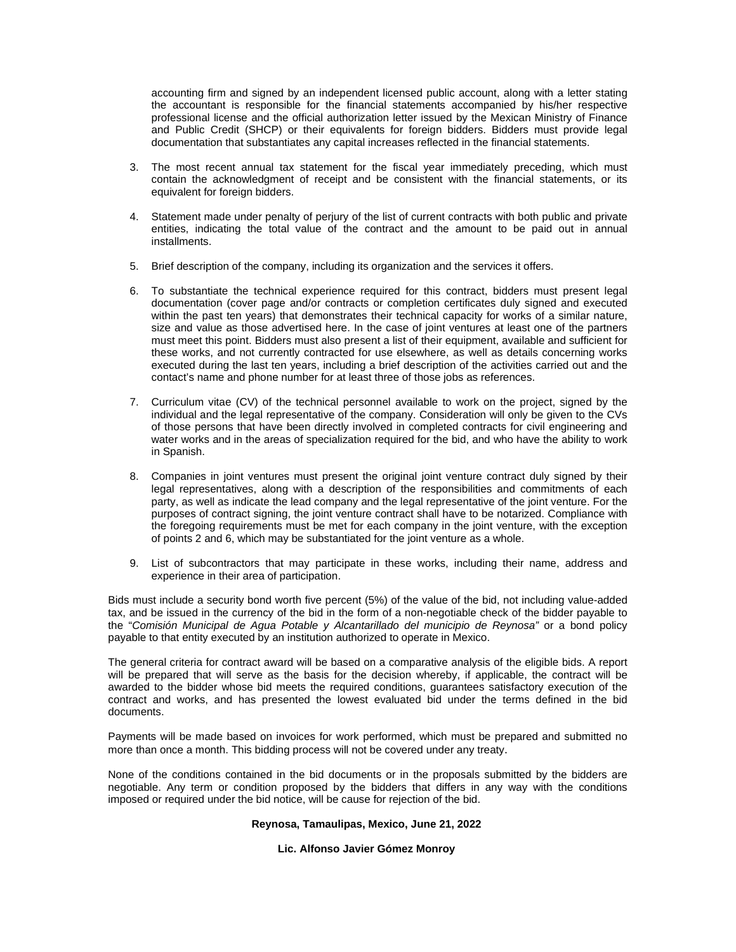accounting firm and signed by an independent licensed public account, along with a letter stating the accountant is responsible for the financial statements accompanied by his/her respective professional license and the official authorization letter issued by the Mexican Ministry of Finance and Public Credit (SHCP) or their equivalents for foreign bidders. Bidders must provide legal documentation that substantiates any capital increases reflected in the financial statements.

- 3. The most recent annual tax statement for the fiscal year immediately preceding, which must contain the acknowledgment of receipt and be consistent with the financial statements, or its equivalent for foreign bidders.
- 4. Statement made under penalty of perjury of the list of current contracts with both public and private entities, indicating the total value of the contract and the amount to be paid out in annual installments.
- 5. Brief description of the company, including its organization and the services it offers.
- 6. To substantiate the technical experience required for this contract, bidders must present legal documentation (cover page and/or contracts or completion certificates duly signed and executed within the past ten years) that demonstrates their technical capacity for works of a similar nature, size and value as those advertised here. In the case of joint ventures at least one of the partners must meet this point. Bidders must also present a list of their equipment, available and sufficient for these works, and not currently contracted for use elsewhere, as well as details concerning works executed during the last ten years, including a brief description of the activities carried out and the contact's name and phone number for at least three of those jobs as references.
- 7. Curriculum vitae (CV) of the technical personnel available to work on the project, signed by the individual and the legal representative of the company. Consideration will only be given to the CVs of those persons that have been directly involved in completed contracts for civil engineering and water works and in the areas of specialization required for the bid, and who have the ability to work in Spanish.
- 8. Companies in joint ventures must present the original joint venture contract duly signed by their legal representatives, along with a description of the responsibilities and commitments of each party, as well as indicate the lead company and the legal representative of the joint venture. For the purposes of contract signing, the joint venture contract shall have to be notarized. Compliance with the foregoing requirements must be met for each company in the joint venture, with the exception of points 2 and 6, which may be substantiated for the joint venture as a whole.
- 9. List of subcontractors that may participate in these works, including their name, address and experience in their area of participation.

Bids must include a security bond worth five percent (5%) of the value of the bid, not including value-added tax, and be issued in the currency of the bid in the form of a non-negotiable check of the bidder payable to the "*Comisión Municipal de Agua Potable y Alcantarillado del municipio de Reynosa"* or a bond policy payable to that entity executed by an institution authorized to operate in Mexico.

The general criteria for contract award will be based on a comparative analysis of the eligible bids. A report will be prepared that will serve as the basis for the decision whereby, if applicable, the contract will be awarded to the bidder whose bid meets the required conditions, guarantees satisfactory execution of the contract and works, and has presented the lowest evaluated bid under the terms defined in the bid documents.

Payments will be made based on invoices for work performed, which must be prepared and submitted no more than once a month. This bidding process will not be covered under any treaty.

None of the conditions contained in the bid documents or in the proposals submitted by the bidders are negotiable. Any term or condition proposed by the bidders that differs in any way with the conditions imposed or required under the bid notice, will be cause for rejection of the bid.

# **Reynosa, Tamaulipas, Mexico, June 21, 2022**

## **Lic. Alfonso Javier Gómez Monroy**